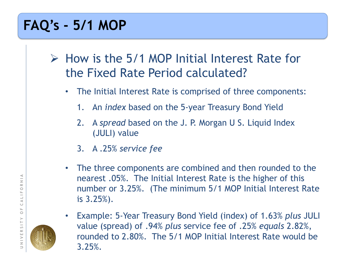$\triangleright$  How is the 5/1 MOP Initial Interest Rate for the Fixed Rate Period calculated?

- The Initial Interest Rate is comprised of three components:
	- 1. An *index* based on the 5-year Treasury Bond Yield
	- 2. A *spread* based on the J. P. Morgan U S. Liquid Index (JULI) value
	- 3. A .25% *service fee*
- The three components are combined and then rounded to the nearest .05%. The Initial Interest Rate is the higher of this number or 3.25%. (The minimum 5/1 MOP Initial Interest Rate is 3.25%).
- Example: 5-Year Treasury Bond Yield (index) of 1.63% *plus* JULI value (spread) of .94% *plus* service fee of .25% *equals* 2.82%, rounded to 2.80%. The 5/1 MOP Initial Interest Rate would be 3.25%.

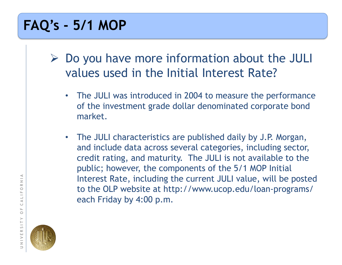- $\triangleright$  Do you have more information about the JULI values used in the Initial Interest Rate?
	- The JULI was introduced in 2004 to measure the performance of the investment grade dollar denominated corporate bond market.
	- The JULI characteristics are published daily by J.P. Morgan, and include data across several categories, including sector, credit rating, and maturity. The JULI is not available to the public; however, the components of the 5/1 MOP Initial Interest Rate, including the current JULI value, will be posted to the OLP website at http://www.ucop.edu/loan-programs/ each Friday by 4:00 p.m.

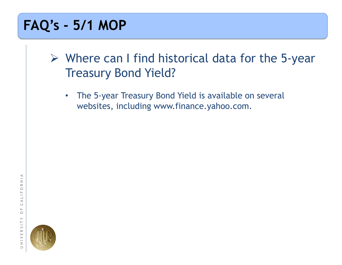$\triangleright$  Where can I find historical data for the 5-year Treasury Bond Yield?

• The 5-year Treasury Bond Yield is available on several websites, including www.finance.yahoo.com.

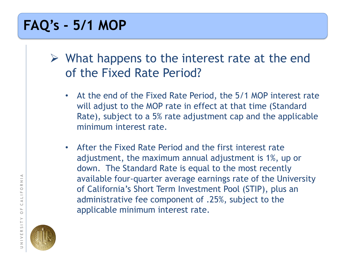- $\triangleright$  What happens to the interest rate at the end of the Fixed Rate Period?
	- At the end of the Fixed Rate Period, the 5/1 MOP interest rate will adjust to the MOP rate in effect at that time (Standard Rate), subject to a 5% rate adjustment cap and the applicable minimum interest rate.
	- After the Fixed Rate Period and the first interest rate adjustment, the maximum annual adjustment is 1%, up or down. The Standard Rate is equal to the most recently available four-quarter average earnings rate of the University of California's Short Term Investment Pool (STIP), plus an administrative fee component of .25%, subject to the applicable minimum interest rate.

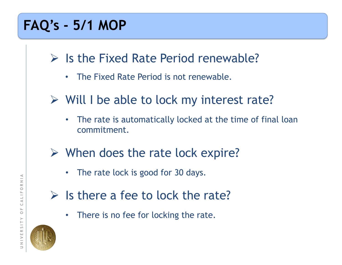- $\triangleright$  Is the Fixed Rate Period renewable?
	- The Fixed Rate Period is not renewable.
- Will I be able to lock my interest rate?
	- The rate is automatically locked at the time of final loan commitment.
- $\triangleright$  When does the rate lock expire?
	- The rate lock is good for 30 days.
- $\triangleright$  Is there a fee to lock the rate?
	- There is no fee for locking the rate.

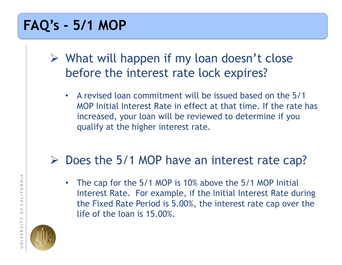- $\triangleright$  What will happen if my loan doesn't close before the interest rate lock expires?
	- A revised loan commitment will be issued based on the 5/1 MOP Initial Interest Rate in effect at that time. If the rate has increased, your loan will be reviewed to determine if you qualify at the higher interest rate.

#### $\triangleright$  Does the 5/1 MOP have an interest rate cap?

• The cap for the 5/1 MOP is 10% above the 5/1 MOP Initial Interest Rate. For example, if the Initial Interest Rate during the Fixed Rate Period is 5.00%, the interest rate cap over the life of the loan is 15.00%.